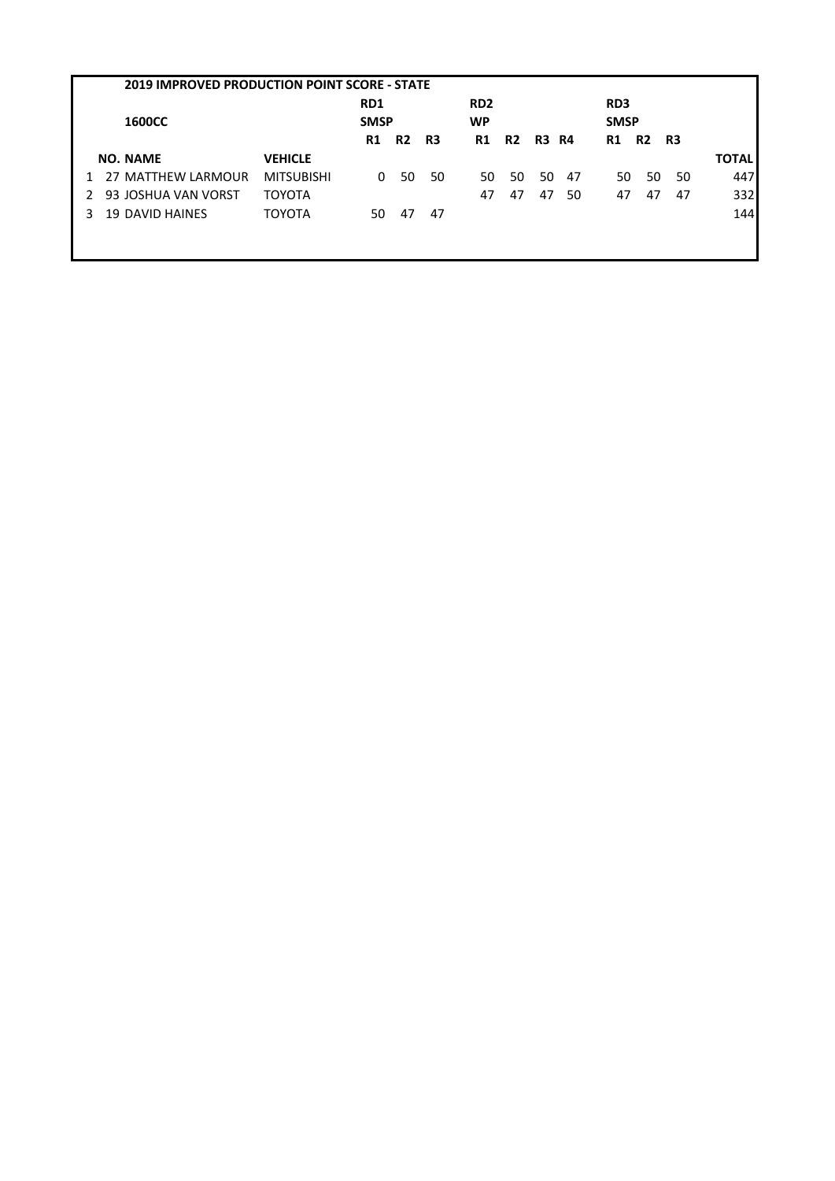|               | <b>2019 IMPROVED PRODUCTION POINT SCORE - STATE</b> |                   |                    |           |                              |           |           |              |     |                                |                |    |              |
|---------------|-----------------------------------------------------|-------------------|--------------------|-----------|------------------------------|-----------|-----------|--------------|-----|--------------------------------|----------------|----|--------------|
| <b>1600CC</b> |                                                     |                   | RD1<br><b>SMSP</b> |           | RD <sub>2</sub><br><b>WP</b> |           |           |              |     | RD <sub>3</sub><br><b>SMSP</b> |                |    |              |
|               |                                                     |                   | R1                 | <b>R2</b> | R3                           | <b>R1</b> | <b>R2</b> | <b>R3 R4</b> |     | R1                             | R <sub>2</sub> | R3 |              |
|               | <b>NO. NAME</b>                                     | <b>VEHICLE</b>    |                    |           |                              |           |           |              |     |                                |                |    | <b>TOTAL</b> |
|               | 27 MATTHEW LARMOUR                                  | <b>MITSUBISHI</b> | 0                  | 50        | 50                           | 50        | 50        | 50           | -47 | 50                             | 50             | 50 | 447          |
|               | 93 JOSHUA VAN VORST                                 | <b>TOYOTA</b>     |                    |           |                              | 47        | 47        | 47           | 50  | 47                             | 47             | 47 | 332          |
| 3.            | <b>19 DAVID HAINES</b>                              | <b>TOYOTA</b>     | 50                 | 47        | 47                           |           |           |              |     |                                |                |    | 144          |
|               |                                                     |                   |                    |           |                              |           |           |              |     |                                |                |    |              |
|               |                                                     |                   |                    |           |                              |           |           |              |     |                                |                |    |              |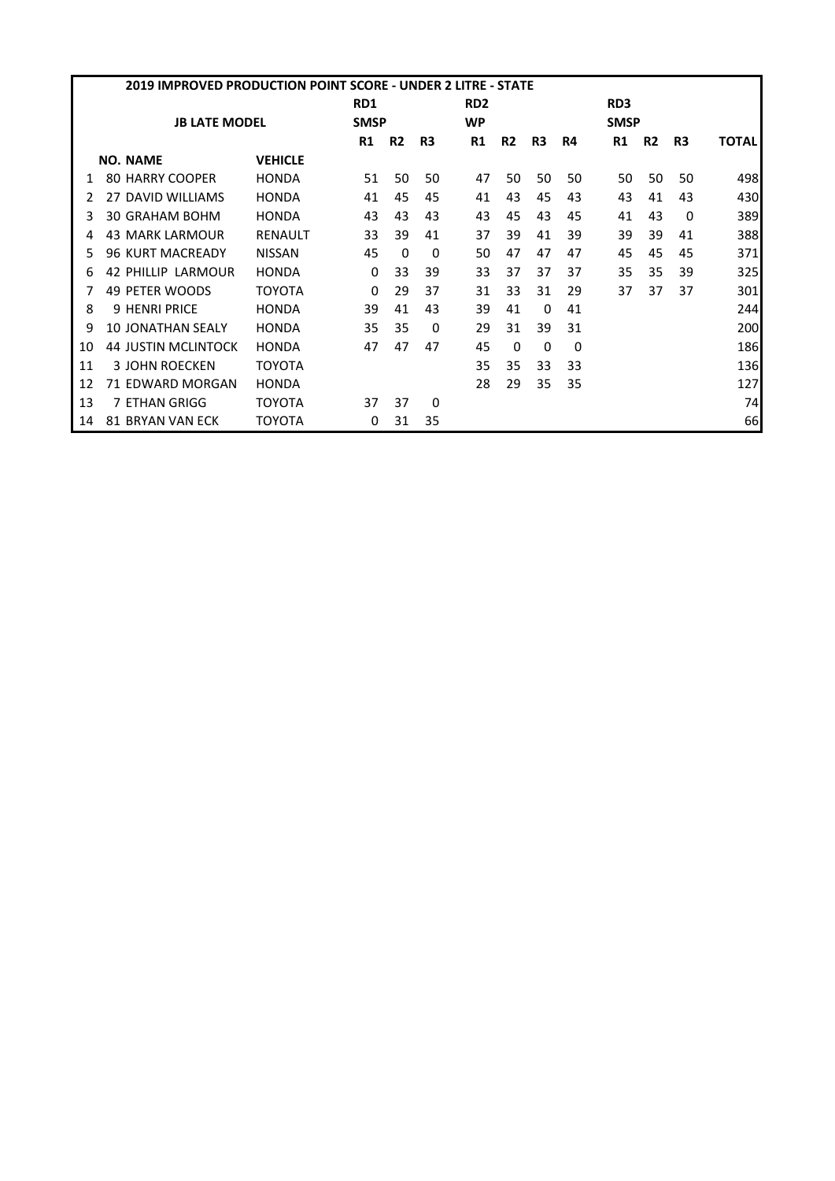|    | 2019 IMPROVED PRODUCTION POINT SCORE - UNDER 2 LITRE - STATE |                            |                |             |           |                |                 |                |                |    |                 |             |    |              |  |
|----|--------------------------------------------------------------|----------------------------|----------------|-------------|-----------|----------------|-----------------|----------------|----------------|----|-----------------|-------------|----|--------------|--|
|    |                                                              |                            |                | RD1         |           |                | RD <sub>2</sub> |                |                |    | RD <sub>3</sub> |             |    |              |  |
|    |                                                              | <b>JB LATE MODEL</b>       |                | <b>SMSP</b> |           |                | <b>WP</b>       |                |                |    |                 | <b>SMSP</b> |    |              |  |
|    |                                                              |                            |                | R1          | <b>R2</b> | R <sub>3</sub> | <b>R1</b>       | R <sub>2</sub> | R <sub>3</sub> | R4 | <b>R1</b>       | <b>R2</b>   | R3 | <b>TOTAL</b> |  |
|    |                                                              | <b>NO. NAME</b>            | <b>VEHICLE</b> |             |           |                |                 |                |                |    |                 |             |    |              |  |
|    |                                                              | <b>80 HARRY COOPER</b>     | <b>HONDA</b>   | 51          | 50        | 50             | 47              | 50             | 50             | 50 | 50              | 50          | 50 | 498          |  |
|    |                                                              | 27 DAVID WILLIAMS          | <b>HONDA</b>   | 41          | 45        | 45             | 41              | 43             | 45             | 43 | 43              | 41          | 43 | 430          |  |
| 3  |                                                              | 30 GRAHAM BOHM             | <b>HONDA</b>   | 43          | 43        | 43             | 43              | 45             | 43             | 45 | 41              | 43          | 0  | 389          |  |
|    |                                                              | <b>43 MARK LARMOUR</b>     | <b>RENAULT</b> | 33          | 39        | 41             | 37              | 39             | 41             | 39 | 39              | 39          | 41 | 388          |  |
| 5. |                                                              | <b>96 KURT MACREADY</b>    | <b>NISSAN</b>  | 45          | $\Omega$  | 0              | 50              | 47             | 47             | 47 | 45              | 45          | 45 | 371          |  |
| 6  |                                                              | 42 PHILLIP LARMOUR         | <b>HONDA</b>   | 0           | 33        | 39             | 33              | 37             | 37             | 37 | 35              | 35          | 39 | 325          |  |
|    |                                                              | 49 PETER WOODS             | TOYOTA         | 0           | 29        | 37             | 31              | 33             | 31             | 29 | 37              | 37          | 37 | 301          |  |
| 8  |                                                              | <b>9 HENRI PRICE</b>       | <b>HONDA</b>   | 39          | 41        | 43             | 39              | 41             | 0              | 41 |                 |             |    | 244          |  |
| 9  |                                                              | <b>10 JONATHAN SEALY</b>   | <b>HONDA</b>   | 35          | 35        | $\Omega$       | 29              | 31             | 39             | 31 |                 |             |    | 200          |  |
| 10 |                                                              | <b>44 JUSTIN MCLINTOCK</b> | <b>HONDA</b>   | 47          | 47        | 47             | 45              | 0              | $\Omega$       | 0  |                 |             |    | 186          |  |
| 11 |                                                              | <b>3 JOHN ROECKEN</b>      | TOYOTA         |             |           |                | 35              | 35             | 33             | 33 |                 |             |    | 136          |  |
| 12 |                                                              | 71 EDWARD MORGAN           | <b>HONDA</b>   |             |           |                | 28              | 29             | 35             | 35 |                 |             |    | 127          |  |
| 13 |                                                              | 7 ETHAN GRIGG              | TOYOTA         | 37          | 37        | 0              |                 |                |                |    |                 |             |    | 74           |  |
| 14 |                                                              | <b>81 BRYAN VAN ECK</b>    | TOYOTA         | 0           | 31        | 35             |                 |                |                |    |                 |             |    | 66           |  |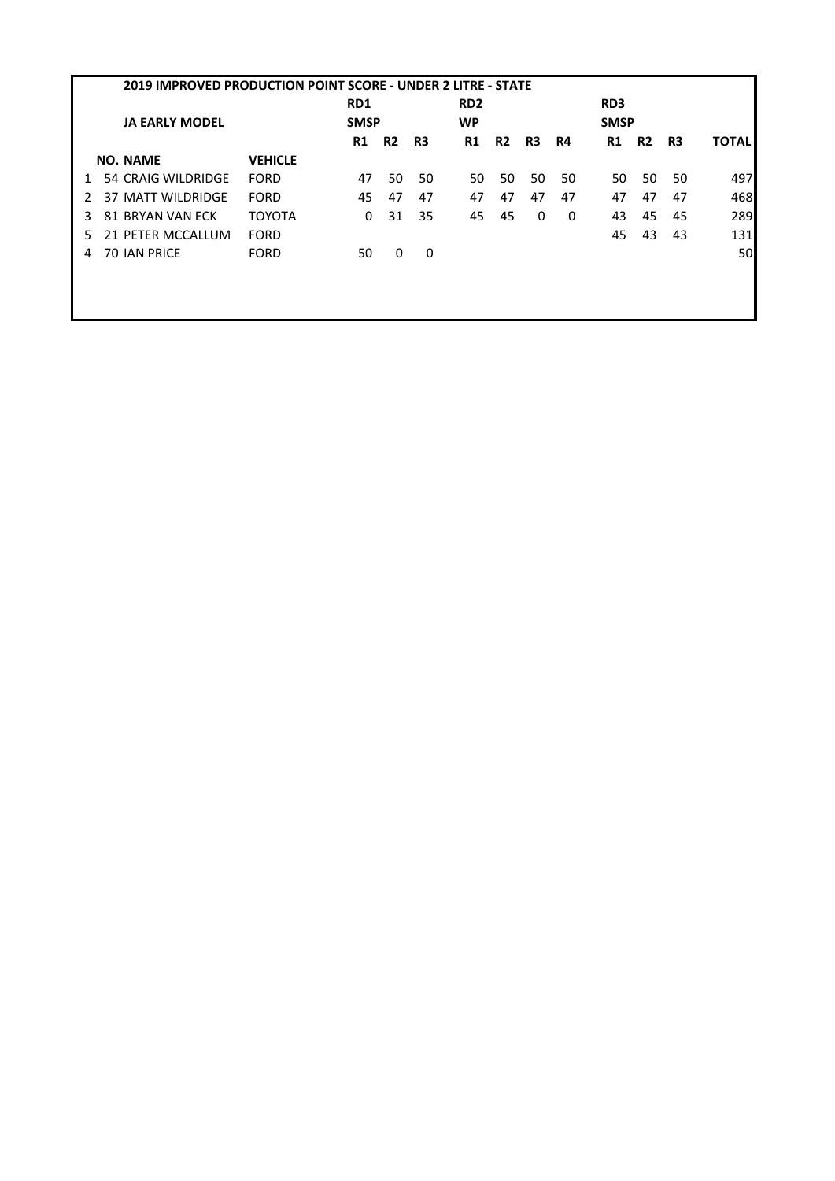|   | <b>2019 IMPROVED PRODUCTION POINT SCORE - UNDER 2 LITRE - STATE</b> |                       |                |                 |                |    |                 |                |    |    |                 |                |    |              |
|---|---------------------------------------------------------------------|-----------------------|----------------|-----------------|----------------|----|-----------------|----------------|----|----|-----------------|----------------|----|--------------|
|   |                                                                     |                       |                | RD <sub>1</sub> |                |    | RD <sub>2</sub> |                |    |    | RD <sub>3</sub> |                |    |              |
|   |                                                                     | <b>JA EARLY MODEL</b> |                | <b>SMSP</b>     |                |    | <b>WP</b>       |                |    |    | <b>SMSP</b>     |                |    |              |
|   |                                                                     |                       |                | <b>R1</b>       | R <sub>2</sub> | R3 | R1              | R <sub>2</sub> | R3 | R4 | R1              | R <sub>2</sub> | R3 | <b>TOTAL</b> |
|   |                                                                     | <b>NO. NAME</b>       | <b>VEHICLE</b> |                 |                |    |                 |                |    |    |                 |                |    |              |
|   |                                                                     | 54 CRAIG WILDRIDGE    | <b>FORD</b>    | 47              | 50             | 50 | 50              | 50             | 50 | 50 | 50              | 50             | 50 | 497          |
|   |                                                                     | 37 MATT WILDRIDGE     | <b>FORD</b>    | 45              | 47             | 47 | 47              | 47             | 47 | 47 | 47              | 47             | 47 | 468          |
|   |                                                                     | 81 BRYAN VAN ECK      | <b>TOYOTA</b>  | 0               | 31             | 35 | 45              | 45             | 0  | 0  | 43              | 45             | 45 | 289          |
|   |                                                                     | 21 PETER MCCALLUM     | <b>FORD</b>    |                 |                |    |                 |                |    |    | 45              | 43             | 43 | 131          |
| 4 |                                                                     | <b>70 IAN PRICE</b>   | <b>FORD</b>    | 50              | 0              | 0  |                 |                |    |    |                 |                |    | <b>50l</b>   |
|   |                                                                     |                       |                |                 |                |    |                 |                |    |    |                 |                |    |              |
|   |                                                                     |                       |                |                 |                |    |                 |                |    |    |                 |                |    |              |
|   |                                                                     |                       |                |                 |                |    |                 |                |    |    |                 |                |    |              |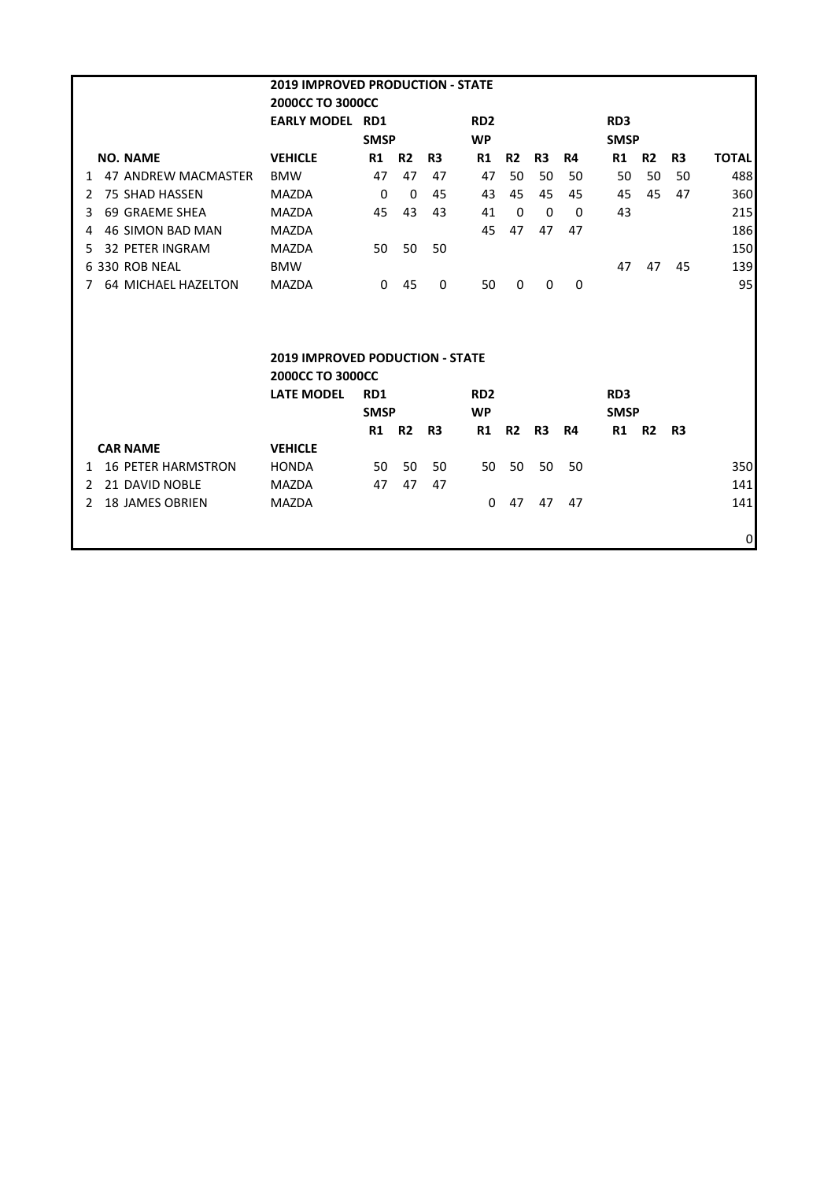| <b>2019 IMPROVED PRODUCTION - STATE</b> |                            |                                        |              |                |                |                 |                |                |              |                 |           |    |                 |  |
|-----------------------------------------|----------------------------|----------------------------------------|--------------|----------------|----------------|-----------------|----------------|----------------|--------------|-----------------|-----------|----|-----------------|--|
|                                         |                            | <b>2000CC TO 3000CC</b>                |              |                |                |                 |                |                |              |                 |           |    |                 |  |
|                                         |                            | <b>EARLY MODEL RD1</b>                 |              |                |                | RD <sub>2</sub> |                |                |              | RD <sub>3</sub> |           |    |                 |  |
|                                         |                            |                                        | <b>SMSP</b>  |                |                | <b>WP</b>       |                |                |              | <b>SMSP</b>     |           |    |                 |  |
|                                         | <b>NO. NAME</b>            | <b>VEHICLE</b>                         | R1           | R <sub>2</sub> | R <sub>3</sub> | R1              | R <sub>2</sub> | R <sub>3</sub> | R4           | R1              | <b>R2</b> | R3 | <b>TOTAL</b>    |  |
| 1                                       | 47 ANDREW MACMASTER        | <b>BMW</b>                             | 47           | 47             | 47             | 47              | 50             | 50             | 50           | 50              | 50        | 50 | 488             |  |
| $\mathcal{L}$                           | <b>75 SHAD HASSEN</b>      | <b>MAZDA</b>                           | $\mathbf{0}$ | $\Omega$       | 45             | 43              | 45             | 45             | 45           | 45              | 45        | 47 | 360             |  |
| 3                                       | 69 GRAEME SHEA             | <b>MAZDA</b>                           | 45           | 43             | 43             | 41              | 0              | 0              | $\Omega$     | 43              |           |    | 215             |  |
| 4                                       | <b>46 SIMON BAD MAN</b>    | <b>MAZDA</b>                           |              |                |                | 45              | 47             | 47             | 47           |                 |           |    | 186             |  |
| 5.                                      | <b>32 PETER INGRAM</b>     | <b>MAZDA</b>                           | 50           | 50             | 50             |                 |                |                |              |                 |           |    | 150             |  |
|                                         | 6 330 ROB NEAL             | <b>BMW</b>                             |              |                |                |                 |                |                |              | 47              | 47        | 45 | 139             |  |
| 7                                       | <b>64 MICHAEL HAZELTON</b> | <b>MAZDA</b>                           | 0            | 45             | $\Omega$       | 50              | $\mathbf{0}$   | $\mathbf{0}$   | $\mathbf{0}$ |                 |           |    | 95 <sub>l</sub> |  |
|                                         |                            |                                        |              |                |                |                 |                |                |              |                 |           |    |                 |  |
|                                         |                            |                                        |              |                |                |                 |                |                |              |                 |           |    |                 |  |
|                                         |                            | <b>2019 IMPROVED PODUCTION - STATE</b> |              |                |                |                 |                |                |              |                 |           |    |                 |  |
|                                         |                            | 2000CC TO 3000CC                       |              |                |                |                 |                |                |              |                 |           |    |                 |  |
|                                         |                            | <b>LATE MODEL</b>                      | RD1          |                |                | RD <sub>2</sub> |                |                |              | RD <sub>3</sub> |           |    |                 |  |
|                                         |                            |                                        | <b>SMSP</b>  |                |                | <b>WP</b>       |                |                |              | <b>SMSP</b>     |           |    |                 |  |
|                                         |                            |                                        | R1           | <b>R2</b>      | R3             | R1              | <b>R2</b>      | R <sub>3</sub> | R4           | R1 R2           |           | R3 |                 |  |
|                                         | <b>CAR NAME</b>            | <b>VEHICLE</b>                         |              |                |                |                 |                |                |              |                 |           |    |                 |  |
| 1                                       | <b>16 PETER HARMSTRON</b>  | <b>HONDA</b>                           | 50           | 50             | 50             | 50              | 50             | 50             | 50           |                 |           |    | 350             |  |
| $\mathcal{L}$                           | 21 DAVID NOBLE             | <b>MAZDA</b>                           | 47           | 47             | 47             |                 |                |                |              |                 |           |    | <b>141</b>      |  |
| $\mathcal{P}$                           | <b>18 JAMES OBRIEN</b>     | <b>MAZDA</b>                           |              |                |                | $\Omega$        | 47             | 47             | 47           |                 |           |    | 141             |  |
|                                         |                            |                                        |              |                |                |                 |                |                |              |                 |           |    |                 |  |
|                                         |                            |                                        |              |                |                |                 |                |                |              |                 |           |    | 0               |  |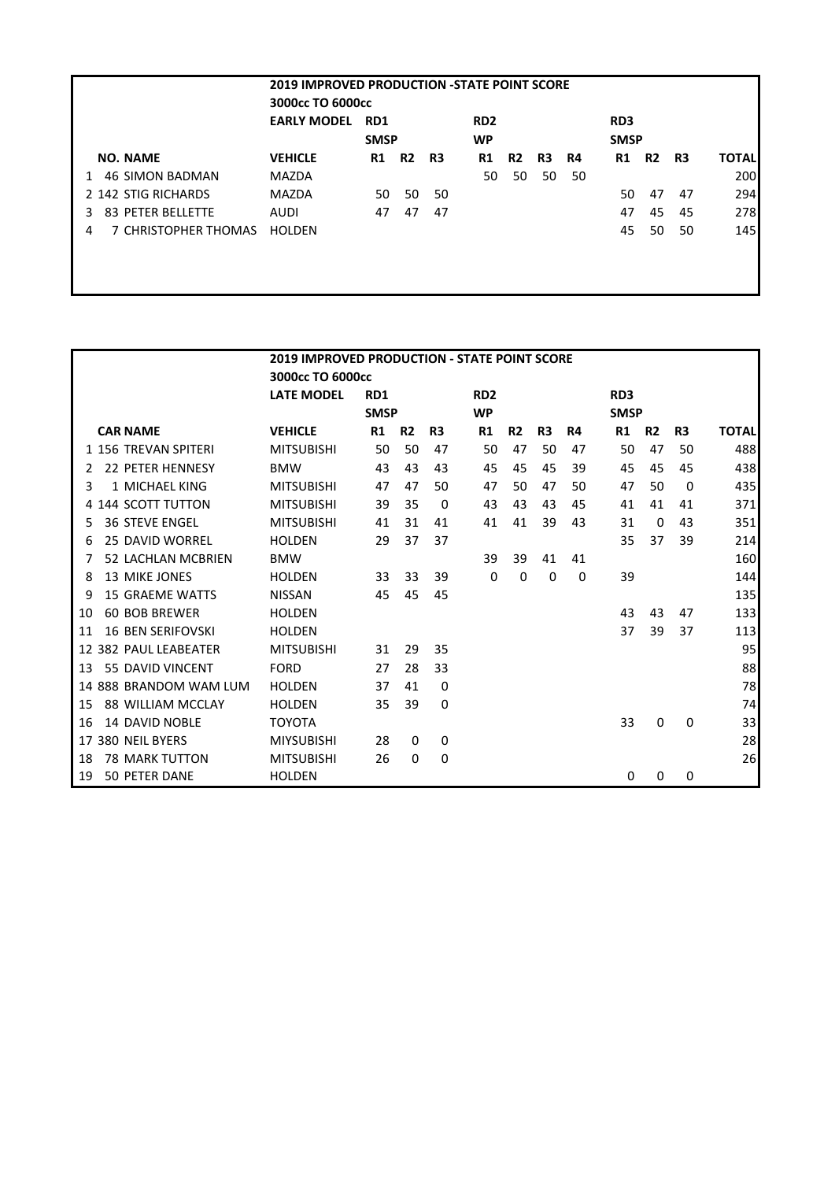| <b>2019 IMPROVED PRODUCTION -STATE POINT SCORE</b> |                    |                  |                |    |                 |                |                |    |             |                |    |              |
|----------------------------------------------------|--------------------|------------------|----------------|----|-----------------|----------------|----------------|----|-------------|----------------|----|--------------|
|                                                    |                    | 3000cc TO 6000cc |                |    |                 |                |                |    |             |                |    |              |
|                                                    | <b>EARLY MODEL</b> | RD <sub>1</sub>  |                |    | RD <sub>2</sub> |                |                |    | RD3         |                |    |              |
|                                                    |                    | <b>SMSP</b>      |                |    | WP              |                |                |    | <b>SMSP</b> |                |    |              |
| <b>NO. NAME</b>                                    | <b>VEHICLE</b>     | R1               | R <sub>2</sub> | R3 | R1              | R <sub>2</sub> | R <sub>3</sub> | R4 | R1          | R <sub>2</sub> | R3 | <b>TOTAL</b> |
| <b>46 SIMON BADMAN</b><br>1                        | MAZDA              |                  |                |    | 50              | 50             | 50             | 50 |             |                |    | 200          |
| 2 142 STIG RICHARDS                                | <b>MAZDA</b>       | 50               | 50             | 50 |                 |                |                |    | 50          | 47             | 47 | 294          |
| 83 PETER BELLETTE<br>3                             | AUDI               | 47               | 47             | 47 |                 |                |                |    | 47          | 45             | 45 | 278          |
| 7 CHRISTOPHER THOMAS<br>4                          | <b>HOLDEN</b>      |                  |                |    |                 |                |                |    | 45          | 50             | 50 | 145          |
|                                                    |                    |                  |                |    |                 |                |                |    |             |                |    |              |
|                                                    |                    |                  |                |    |                 |                |                |    |             |                |    |              |
|                                                    |                    |                  |                |    |                 |                |                |    |             |                |    |              |

|                                 | <b>2019 IMPROVED PRODUCTION - STATE POINT SCORE</b> |             |                |                |                 |                |           |    |                 |                |                |              |  |
|---------------------------------|-----------------------------------------------------|-------------|----------------|----------------|-----------------|----------------|-----------|----|-----------------|----------------|----------------|--------------|--|
|                                 | 3000cc TO 6000cc                                    |             |                |                |                 |                |           |    |                 |                |                |              |  |
|                                 | <b>LATE MODEL</b>                                   | RD1         |                |                | RD <sub>2</sub> |                |           |    | RD <sub>3</sub> |                |                |              |  |
|                                 |                                                     | <b>SMSP</b> |                |                | <b>WP</b>       |                |           |    |                 | <b>SMSP</b>    |                |              |  |
| <b>CAR NAME</b>                 | <b>VEHICLE</b>                                      | R1          | R <sub>2</sub> | R <sub>3</sub> | R1              | R <sub>2</sub> | <b>R3</b> | R4 | R1              | R <sub>2</sub> | R <sub>3</sub> | <b>TOTAL</b> |  |
| 1 156 TREVAN SPITERI            | <b>MITSUBISHI</b>                                   | 50          | 50             | 47             | 50              | 47             | 50        | 47 | 50              | 47             | 50             | 488          |  |
| <b>22 PETER HENNESY</b><br>2    | <b>BMW</b>                                          | 43          | 43             | 43             | 45              | 45             | 45        | 39 | 45              | 45             | 45             | 438          |  |
| 1 MICHAEL KING<br>3             | <b>MITSUBISHI</b>                                   | 47          | 47             | 50             | 47              | 50             | 47        | 50 | 47              | 50             | 0              | 435          |  |
| <b>144 SCOTT TUTTON</b>         | <b>MITSUBISHI</b>                                   | 39          | 35             | 0              | 43              | 43             | 43        | 45 | 41              | 41             | 41             | 371          |  |
| <b>36 STEVE ENGEL</b><br>5      | <b>MITSUBISHI</b>                                   | 41          | 31             | 41             | 41              | 41             | 39        | 43 | 31              | 0              | 43             | 351          |  |
| <b>25 DAVID WORREL</b><br>6     | <b>HOLDEN</b>                                       | 29          | 37             | 37             |                 |                |           |    | 35              | 37             | 39             | 214          |  |
| 52 LACHLAN MCBRIEN<br>7         | <b>BMW</b>                                          |             |                |                | 39              | 39             | 41        | 41 |                 |                |                | 160          |  |
| <b>13 MIKE JONES</b><br>8       | <b>HOLDEN</b>                                       | 33          | 33             | 39             | 0               | 0              | 0         | 0  | 39              |                |                | 144          |  |
| <b>15 GRAEME WATTS</b><br>9     | <b>NISSAN</b>                                       | 45          | 45             | 45             |                 |                |           |    |                 |                |                | 135          |  |
| <b>60 BOB BREWER</b><br>10      | <b>HOLDEN</b>                                       |             |                |                |                 |                |           |    | 43              | 43             | 47             | 133          |  |
| <b>16 BEN SERIFOVSKI</b><br>11  | <b>HOLDEN</b>                                       |             |                |                |                 |                |           |    | 37              | 39             | 37             | 113          |  |
| <b>382 PAUL LEABEATER</b><br>12 | <b>MITSUBISHI</b>                                   | 31          | 29             | 35             |                 |                |           |    |                 |                |                | 95           |  |
| 55 DAVID VINCENT<br>13          | <b>FORD</b>                                         | 27          | 28             | 33             |                 |                |           |    |                 |                |                | 88           |  |
| 14 888 BRANDOM WAM LUM          | <b>HOLDEN</b>                                       | 37          | 41             | $\Omega$       |                 |                |           |    |                 |                |                | 78           |  |
| 88 WILLIAM MCCLAY<br>15         | <b>HOLDEN</b>                                       | 35          | 39             | 0              |                 |                |           |    |                 |                |                | 74           |  |
| <b>14 DAVID NOBLE</b><br>16     | <b>TOYOTA</b>                                       |             |                |                |                 |                |           |    | 33              | 0              | 0              | 33           |  |
| <b>380 NEIL BYERS</b><br>17     | <b>MIYSUBISHI</b>                                   | 28          | $\Omega$       | 0              |                 |                |           |    |                 |                |                | 28           |  |
| <b>78 MARK TUTTON</b><br>18     | <b>MITSUBISHI</b>                                   | 26          | 0              | 0              |                 |                |           |    |                 |                |                | 26           |  |
| 50 PETER DANE<br>19             | <b>HOLDEN</b>                                       |             |                |                |                 |                |           |    | 0               | 0              | 0              |              |  |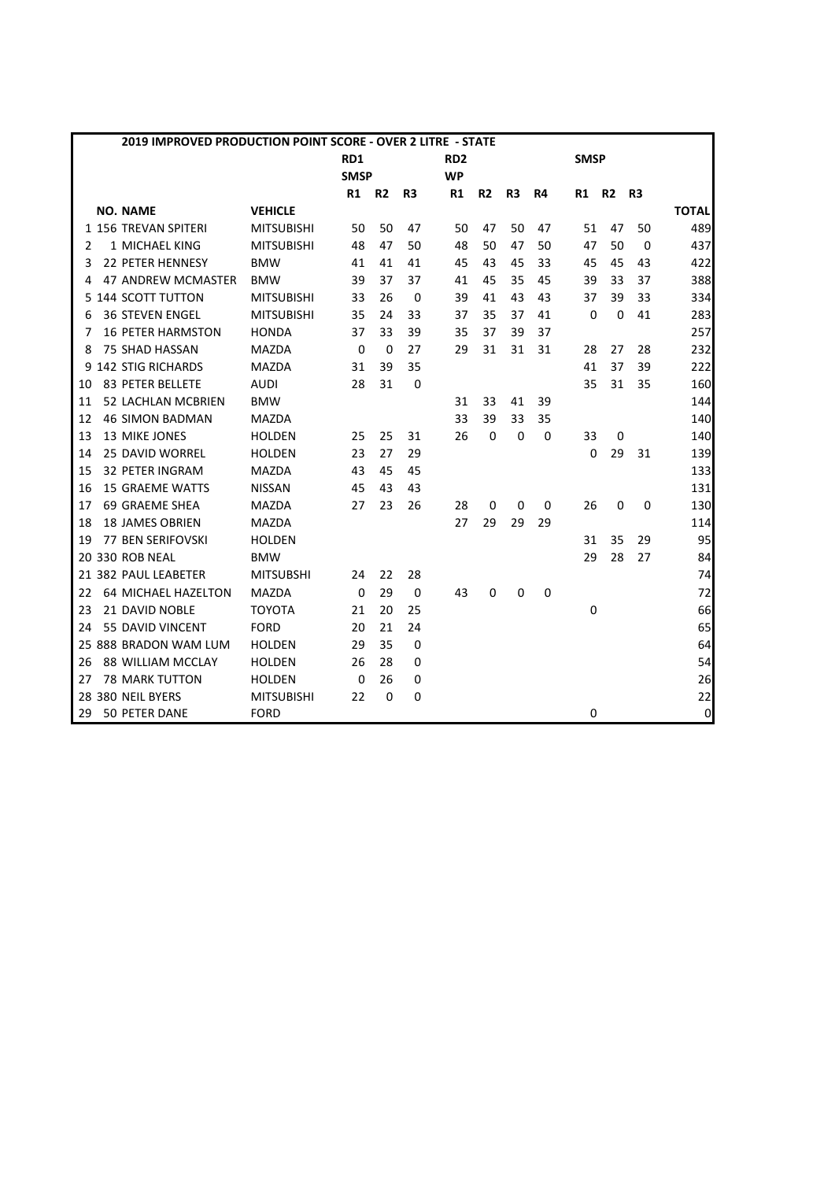|    | 2019 IMPROVED PRODUCTION POINT SCORE - OVER 2 LITRE - STATE |                   |             |                |                |                 |                |                |    |             |                |                |              |
|----|-------------------------------------------------------------|-------------------|-------------|----------------|----------------|-----------------|----------------|----------------|----|-------------|----------------|----------------|--------------|
|    |                                                             |                   | RD1         |                |                | RD <sub>2</sub> |                |                |    | <b>SMSP</b> |                |                |              |
|    |                                                             |                   | <b>SMSP</b> |                |                | <b>WP</b>       |                |                |    |             |                |                |              |
|    |                                                             |                   | R1          | R <sub>2</sub> | R <sub>3</sub> | R1              | R <sub>2</sub> | R <sub>3</sub> | R4 | R1          | R <sub>2</sub> | R <sub>3</sub> |              |
|    | <b>NO. NAME</b>                                             | <b>VEHICLE</b>    |             |                |                |                 |                |                |    |             |                |                | <b>TOTAL</b> |
|    | 1 156 TREVAN SPITERI                                        | <b>MITSUBISHI</b> | 50          | 50             | 47             | 50              | 47             | 50             | 47 | 51          | 47             | 50             | 489          |
| 2  | 1 MICHAEL KING                                              | <b>MITSUBISHI</b> | 48          | 47             | 50             | 48              | 50             | 47             | 50 | 47          | 50             | $\Omega$       | 437          |
| 3  | 22 PETER HENNESY                                            | <b>BMW</b>        | 41          | 41             | 41             | 45              | 43             | 45             | 33 | 45          | 45             | 43             | 422          |
| 4  | 47 ANDREW MCMASTER                                          | <b>BMW</b>        | 39          | 37             | 37             | 41              | 45             | 35             | 45 | 39          | 33             | 37             | 388          |
|    | 5 144 SCOTT TUTTON                                          | <b>MITSUBISHI</b> | 33          | 26             | 0              | 39              | 41             | 43             | 43 | 37          | 39             | 33             | 334          |
| 6  | <b>36 STEVEN ENGEL</b>                                      | <b>MITSUBISHI</b> | 35          | 24             | 33             | 37              | 35             | 37             | 41 | 0           | $\mathbf 0$    | 41             | 283          |
| 7  | <b>16 PETER HARMSTON</b>                                    | <b>HONDA</b>      | 37          | 33             | 39             | 35              | 37             | 39             | 37 |             |                |                | 257          |
| 8  | 75 SHAD HASSAN                                              | <b>MAZDA</b>      | $\mathbf 0$ | $\mathbf 0$    | 27             | 29              | 31             | 31             | 31 | 28          | 27             | 28             | 232          |
| 9  | <b>142 STIG RICHARDS</b>                                    | <b>MAZDA</b>      | 31          | 39             | 35             |                 |                |                |    | 41          | 37             | 39             | 222          |
| 10 | <b>83 PETER BELLETE</b>                                     | <b>AUDI</b>       | 28          | 31             | 0              |                 |                |                |    | 35          | 31             | 35             | 160          |
| 11 | <b>52 LACHLAN MCBRIEN</b>                                   | <b>BMW</b>        |             |                |                | 31              | 33             | 41             | 39 |             |                |                | 144          |
| 12 | <b>46 SIMON BADMAN</b>                                      | <b>MAZDA</b>      |             |                |                | 33              | 39             | 33             | 35 |             |                |                | 140          |
| 13 | 13 MIKE JONES                                               | <b>HOLDEN</b>     | 25          | 25             | 31             | 26              | $\mathbf 0$    | 0              | 0  | 33          | 0              |                | 140          |
| 14 | <b>25 DAVID WORREL</b>                                      | <b>HOLDEN</b>     | 23          | 27             | 29             |                 |                |                |    | $\Omega$    | 29             | 31             | 139          |
| 15 | <b>32 PETER INGRAM</b>                                      | <b>MAZDA</b>      | 43          | 45             | 45             |                 |                |                |    |             |                |                | 133          |
| 16 | <b>15 GRAEME WATTS</b>                                      | <b>NISSAN</b>     | 45          | 43             | 43             |                 |                |                |    |             |                |                | 131          |
| 17 | 69 GRAEME SHEA                                              | <b>MAZDA</b>      | 27          | 23             | 26             | 28              | 0              | 0              | 0  | 26          | 0              | 0              | 130          |
| 18 | <b>18 JAMES OBRIEN</b>                                      | <b>MAZDA</b>      |             |                |                | 27              | 29             | 29             | 29 |             |                |                | 114          |
| 19 | <b>77 BEN SERIFOVSKI</b>                                    | <b>HOLDEN</b>     |             |                |                |                 |                |                |    | 31          | 35             | 29             | 95           |
|    | 20 330 ROB NEAL                                             | <b>BMW</b>        |             |                |                |                 |                |                |    | 29          | 28             | 27             | 84           |
|    | 21 382 PAUL LEABETER                                        | <b>MITSUBSHI</b>  | 24          | 22             | 28             |                 |                |                |    |             |                |                | 74           |
| 22 | <b>64 MICHAEL HAZELTON</b>                                  | MAZDA             | 0           | 29             | $\mathbf 0$    | 43              | 0              | 0              | 0  |             |                |                | 72           |
| 23 | 21 DAVID NOBLE                                              | <b>TOYOTA</b>     | 21          | 20             | 25             |                 |                |                |    | 0           |                |                | 66           |
| 24 | 55 DAVID VINCENT                                            | <b>FORD</b>       | 20          | 21             | 24             |                 |                |                |    |             |                |                | 65           |
|    | 25 888 BRADON WAM LUM                                       | <b>HOLDEN</b>     | 29          | 35             | 0              |                 |                |                |    |             |                |                | 64           |
| 26 | 88 WILLIAM MCCLAY                                           | <b>HOLDEN</b>     | 26          | 28             | 0              |                 |                |                |    |             |                |                | 54           |
| 27 | <b>78 MARK TUTTON</b>                                       | <b>HOLDEN</b>     | $\Omega$    | 26             | 0              |                 |                |                |    |             |                |                | 26           |
|    | 28 380 NEIL BYERS                                           | <b>MITSUBISHI</b> | 22          | $\mathbf 0$    | 0              |                 |                |                |    |             |                |                | 22           |
| 29 | 50 PETER DANE                                               | <b>FORD</b>       |             |                |                |                 |                |                |    | 0           |                |                | $\pmb{0}$    |